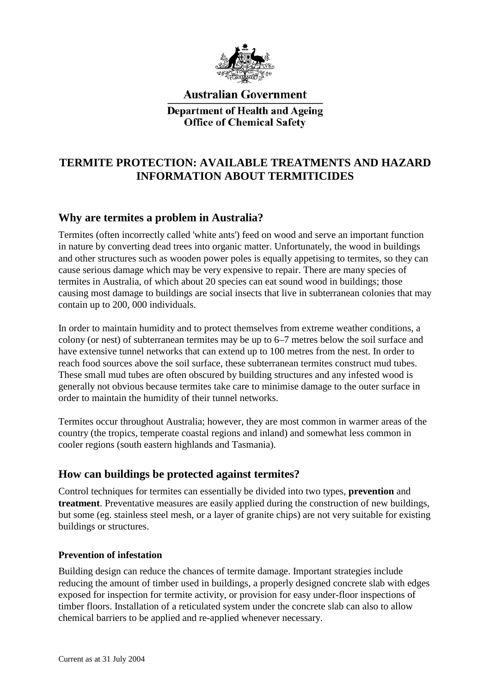

**Australian Government Department of Health and Ageing Office of Chemical Safety** 

# **TERMITE PROTECTION: AVAILABLE TREATMENTS AND HAZARD INFORMATION ABOUT TERMITICIDES**

# **Why are termites a problem in Australia?**

Termites (often incorrectly called 'white ants') feed on wood and serve an important function in nature by converting dead trees into organic matter. Unfortunately, the wood in buildings and other structures such as wooden power poles is equally appetising to termites, so they can cause serious damage which may be very expensive to repair. There are many species of termites in Australia, of which about 20 species can eat sound wood in buildings; those causing most damage to buildings are social insects that live in subterranean colonies that may contain up to 200, 000 individuals.

In order to maintain humidity and to protect themselves from extreme weather conditions, a colony (or nest) of subterranean termites may be up to 6–7 metres below the soil surface and have extensive tunnel networks that can extend up to 100 metres from the nest. In order to reach food sources above the soil surface, these subterranean termites construct mud tubes. These small mud tubes are often obscured by building structures and any infested wood is generally not obvious because termites take care to minimise damage to the outer surface in order to maintain the humidity of their tunnel networks.

Termites occur throughout Australia; however, they are most common in warmer areas of the country (the tropics, temperate coastal regions and inland) and somewhat less common in cooler regions (south eastern highlands and Tasmania).

# **How can buildings be protected against termites?**

Control techniques for termites can essentially be divided into two types, **prevention** and **treatment**. Preventative measures are easily applied during the construction of new buildings, but some (eg. stainless steel mesh, or a layer of granite chips) are not very suitable for existing buildings or structures.

## **Prevention of infestation**

Building design can reduce the chances of termite damage. Important strategies include reducing the amount of timber used in buildings, a properly designed concrete slab with edges exposed for inspection for termite activity, or provision for easy under-floor inspections of timber floors. Installation of a reticulated system under the concrete slab can also to allow chemical barriers to be applied and re-applied whenever necessary.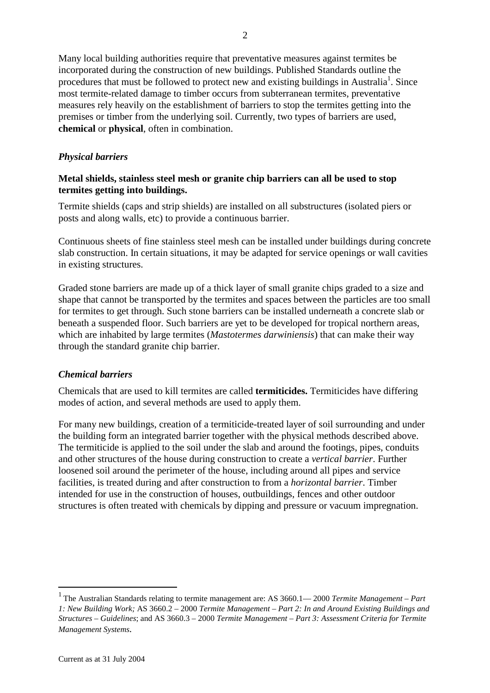Many local building authorities require that preventative measures against termites be incorporated during the construction of new buildings. Published Standards outline the procedures that must be followed to protect new and existing buildings in Australia<sup>1</sup>. Since most termite-related damage to timber occurs from subterranean termites, preventative measures rely heavily on the establishment of barriers to stop the termites getting into the premises or timber from the underlying soil. Currently, two types of barriers are used, **chemical** or **physical**, often in combination.

## *Physical barriers*

## **Metal shields, stainless steel mesh or granite chip barriers can all be used to stop termites getting into buildings.**

Termite shields (caps and strip shields) are installed on all substructures (isolated piers or posts and along walls, etc) to provide a continuous barrier.

Continuous sheets of fine stainless steel mesh can be installed under buildings during concrete slab construction. In certain situations, it may be adapted for service openings or wall cavities in existing structures.

Graded stone barriers are made up of a thick layer of small granite chips graded to a size and shape that cannot be transported by the termites and spaces between the particles are too small for termites to get through. Such stone barriers can be installed underneath a concrete slab or beneath a suspended floor. Such barriers are yet to be developed for tropical northern areas, which are inhabited by large termites (*Mastotermes darwiniensis*) that can make their way through the standard granite chip barrier.

### *Chemical barriers*

Chemicals that are used to kill termites are called **termiticides.** Termiticides have differing modes of action, and several methods are used to apply them.

For many new buildings, creation of a termiticide-treated layer of soil surrounding and under the building form an integrated barrier together with the physical methods described above. The termiticide is applied to the soil under the slab and around the footings, pipes, conduits and other structures of the house during construction to create a *vertical barrier*. Further loosened soil around the perimeter of the house, including around all pipes and service facilities, is treated during and after construction to from a *horizontal barrier*. Timber intended for use in the construction of houses, outbuildings, fences and other outdoor structures is often treated with chemicals by dipping and pressure or vacuum impregnation.

 $\overline{a}$ 

<sup>1</sup> The Australian Standards relating to termite management are: AS 3660.1— 2000 *Termite Management – Part 1: New Building Work;* AS 3660.2 – 2000 *Termite Management – Part 2: In and Around Existing Buildings and Structures – Guidelines*; and AS 3660.3 – 2000 *Termite Management – Part 3: Assessment Criteria for Termite Management Systems.*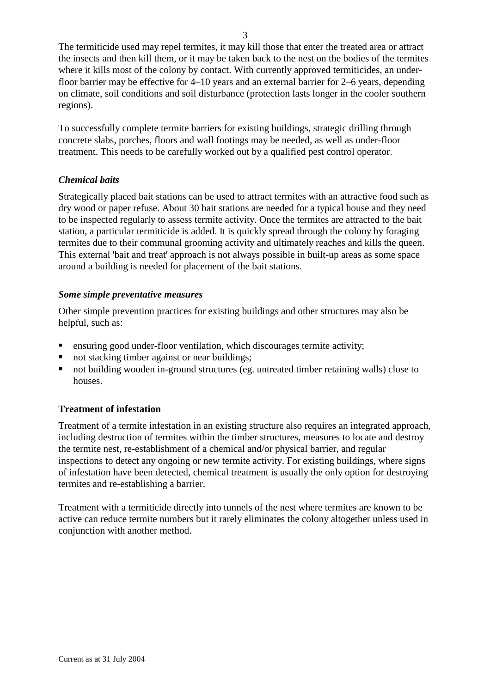The termiticide used may repel termites, it may kill those that enter the treated area or attract the insects and then kill them, or it may be taken back to the nest on the bodies of the termites where it kills most of the colony by contact. With currently approved termiticides, an underfloor barrier may be effective for 4–10 years and an external barrier for 2–6 years, depending on climate, soil conditions and soil disturbance (protection lasts longer in the cooler southern regions).

To successfully complete termite barriers for existing buildings, strategic drilling through concrete slabs, porches, floors and wall footings may be needed, as well as under-floor treatment. This needs to be carefully worked out by a qualified pest control operator.

## *Chemical baits*

Strategically placed bait stations can be used to attract termites with an attractive food such as dry wood or paper refuse. About 30 bait stations are needed for a typical house and they need to be inspected regularly to assess termite activity. Once the termites are attracted to the bait station, a particular termiticide is added. It is quickly spread through the colony by foraging termites due to their communal grooming activity and ultimately reaches and kills the queen. This external 'bait and treat' approach is not always possible in built-up areas as some space around a building is needed for placement of the bait stations.

### *Some simple preventative measures*

Other simple prevention practices for existing buildings and other structures may also be helpful, such as:

- ensuring good under-floor ventilation, which discourages termite activity;
- not stacking timber against or near buildings;
- not building wooden in-ground structures (eg. untreated timber retaining walls) close to houses.

## **Treatment of infestation**

Treatment of a termite infestation in an existing structure also requires an integrated approach, including destruction of termites within the timber structures, measures to locate and destroy the termite nest, re-establishment of a chemical and/or physical barrier, and regular inspections to detect any ongoing or new termite activity. For existing buildings, where signs of infestation have been detected, chemical treatment is usually the only option for destroying termites and re-establishing a barrier.

Treatment with a termiticide directly into tunnels of the nest where termites are known to be active can reduce termite numbers but it rarely eliminates the colony altogether unless used in conjunction with another method.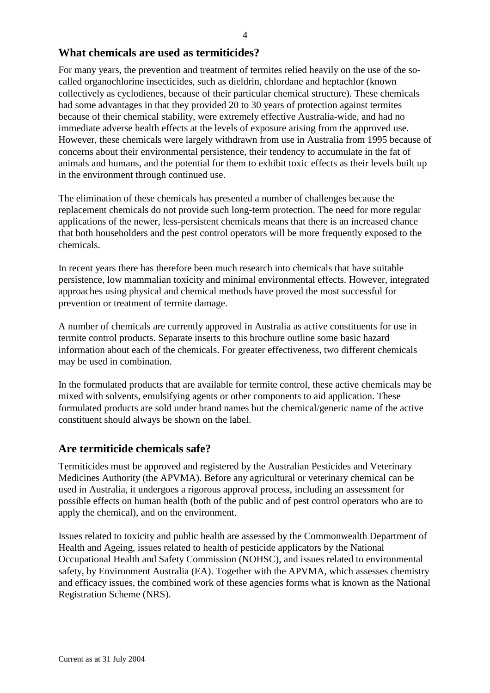## **What chemicals are used as termiticides?**

For many years, the prevention and treatment of termites relied heavily on the use of the socalled organochlorine insecticides, such as dieldrin, chlordane and heptachlor (known collectively as cyclodienes, because of their particular chemical structure). These chemicals had some advantages in that they provided 20 to 30 years of protection against termites because of their chemical stability, were extremely effective Australia-wide, and had no immediate adverse health effects at the levels of exposure arising from the approved use. However, these chemicals were largely withdrawn from use in Australia from 1995 because of concerns about their environmental persistence, their tendency to accumulate in the fat of animals and humans, and the potential for them to exhibit toxic effects as their levels built up in the environment through continued use.

The elimination of these chemicals has presented a number of challenges because the replacement chemicals do not provide such long-term protection. The need for more regular applications of the newer, less-persistent chemicals means that there is an increased chance that both householders and the pest control operators will be more frequently exposed to the chemicals.

In recent years there has therefore been much research into chemicals that have suitable persistence, low mammalian toxicity and minimal environmental effects. However, integrated approaches using physical and chemical methods have proved the most successful for prevention or treatment of termite damage.

A number of chemicals are currently approved in Australia as active constituents for use in termite control products. Separate inserts to this brochure outline some basic hazard information about each of the chemicals. For greater effectiveness, two different chemicals may be used in combination.

In the formulated products that are available for termite control, these active chemicals may be mixed with solvents, emulsifying agents or other components to aid application. These formulated products are sold under brand names but the chemical/generic name of the active constituent should always be shown on the label.

## **Are termiticide chemicals safe?**

Termiticides must be approved and registered by the Australian Pesticides and Veterinary Medicines Authority (the APVMA). Before any agricultural or veterinary chemical can be used in Australia, it undergoes a rigorous approval process, including an assessment for possible effects on human health (both of the public and of pest control operators who are to apply the chemical), and on the environment.

Issues related to toxicity and public health are assessed by the Commonwealth Department of Health and Ageing, issues related to health of pesticide applicators by the National Occupational Health and Safety Commission (NOHSC), and issues related to environmental safety, by Environment Australia (EA). Together with the APVMA, which assesses chemistry and efficacy issues, the combined work of these agencies forms what is known as the National Registration Scheme (NRS).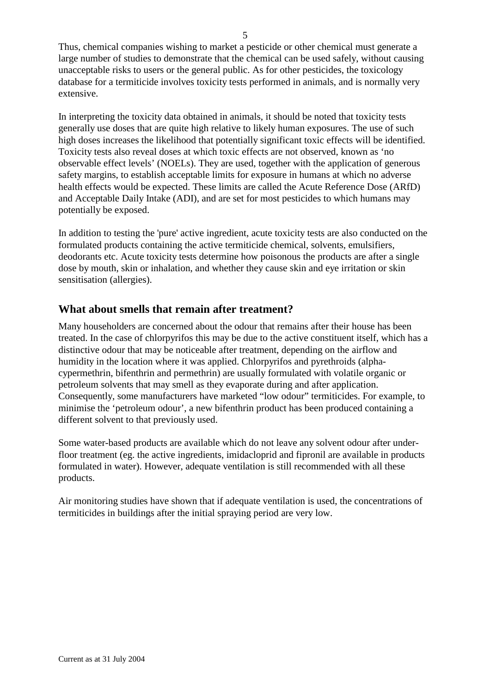Thus, chemical companies wishing to market a pesticide or other chemical must generate a large number of studies to demonstrate that the chemical can be used safely, without causing unacceptable risks to users or the general public. As for other pesticides, the toxicology database for a termiticide involves toxicity tests performed in animals, and is normally very extensive.

In interpreting the toxicity data obtained in animals, it should be noted that toxicity tests generally use doses that are quite high relative to likely human exposures. The use of such high doses increases the likelihood that potentially significant toxic effects will be identified. Toxicity tests also reveal doses at which toxic effects are not observed, known as 'no observable effect levels' (NOELs). They are used, together with the application of generous safety margins, to establish acceptable limits for exposure in humans at which no adverse health effects would be expected. These limits are called the Acute Reference Dose (ARfD) and Acceptable Daily Intake (ADI), and are set for most pesticides to which humans may potentially be exposed.

In addition to testing the 'pure' active ingredient, acute toxicity tests are also conducted on the formulated products containing the active termiticide chemical, solvents, emulsifiers, deodorants etc. Acute toxicity tests determine how poisonous the products are after a single dose by mouth, skin or inhalation, and whether they cause skin and eye irritation or skin sensitisation (allergies).

## **What about smells that remain after treatment?**

Many householders are concerned about the odour that remains after their house has been treated. In the case of chlorpyrifos this may be due to the active constituent itself, which has a distinctive odour that may be noticeable after treatment, depending on the airflow and humidity in the location where it was applied. Chlorpyrifos and pyrethroids (alphacypermethrin, bifenthrin and permethrin) are usually formulated with volatile organic or petroleum solvents that may smell as they evaporate during and after application. Consequently, some manufacturers have marketed "low odour" termiticides. For example, to minimise the 'petroleum odour', a new bifenthrin product has been produced containing a different solvent to that previously used.

Some water-based products are available which do not leave any solvent odour after underfloor treatment (eg. the active ingredients, imidacloprid and fipronil are available in products formulated in water). However, adequate ventilation is still recommended with all these products.

Air monitoring studies have shown that if adequate ventilation is used, the concentrations of termiticides in buildings after the initial spraying period are very low.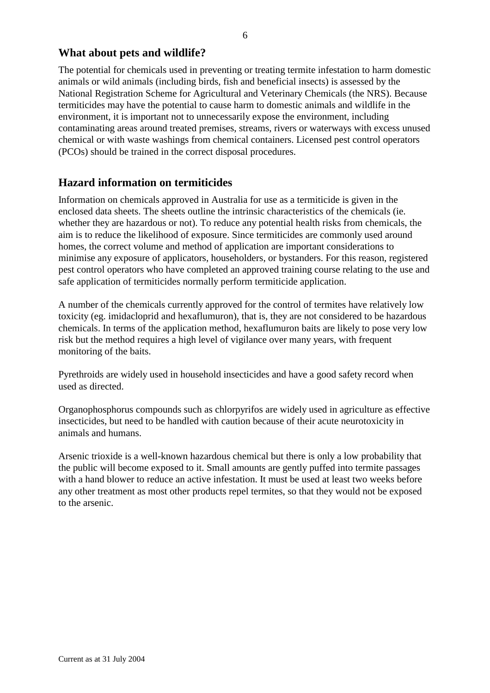## **What about pets and wildlife?**

The potential for chemicals used in preventing or treating termite infestation to harm domestic animals or wild animals (including birds, fish and beneficial insects) is assessed by the National Registration Scheme for Agricultural and Veterinary Chemicals (the NRS). Because termiticides may have the potential to cause harm to domestic animals and wildlife in the environment, it is important not to unnecessarily expose the environment, including contaminating areas around treated premises, streams, rivers or waterways with excess unused chemical or with waste washings from chemical containers. Licensed pest control operators (PCOs) should be trained in the correct disposal procedures.

## **Hazard information on termiticides**

Information on chemicals approved in Australia for use as a termiticide is given in the enclosed data sheets. The sheets outline the intrinsic characteristics of the chemicals (ie. whether they are hazardous or not). To reduce any potential health risks from chemicals, the aim is to reduce the likelihood of exposure. Since termiticides are commonly used around homes, the correct volume and method of application are important considerations to minimise any exposure of applicators, householders, or bystanders. For this reason, registered pest control operators who have completed an approved training course relating to the use and safe application of termiticides normally perform termiticide application.

A number of the chemicals currently approved for the control of termites have relatively low toxicity (eg. imidacloprid and hexaflumuron), that is, they are not considered to be hazardous chemicals. In terms of the application method, hexaflumuron baits are likely to pose very low risk but the method requires a high level of vigilance over many years, with frequent monitoring of the baits.

Pyrethroids are widely used in household insecticides and have a good safety record when used as directed.

Organophosphorus compounds such as chlorpyrifos are widely used in agriculture as effective insecticides, but need to be handled with caution because of their acute neurotoxicity in animals and humans.

Arsenic trioxide is a well-known hazardous chemical but there is only a low probability that the public will become exposed to it. Small amounts are gently puffed into termite passages with a hand blower to reduce an active infestation. It must be used at least two weeks before any other treatment as most other products repel termites, so that they would not be exposed to the arsenic.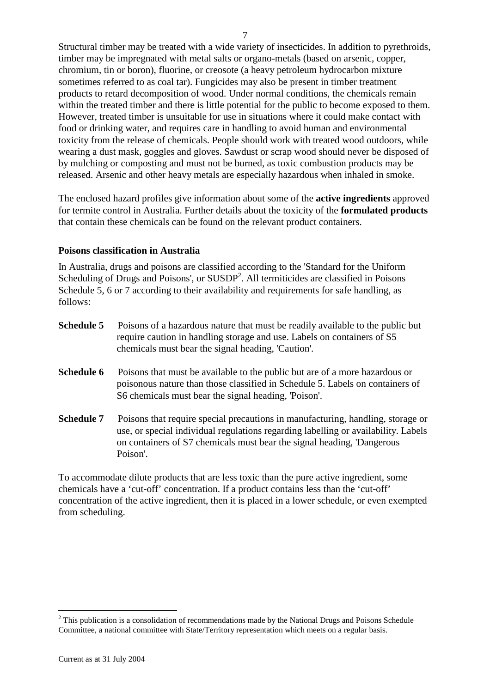Structural timber may be treated with a wide variety of insecticides. In addition to pyrethroids, timber may be impregnated with metal salts or organo-metals (based on arsenic, copper, chromium, tin or boron), fluorine, or creosote (a heavy petroleum hydrocarbon mixture sometimes referred to as coal tar). Fungicides may also be present in timber treatment products to retard decomposition of wood. Under normal conditions, the chemicals remain within the treated timber and there is little potential for the public to become exposed to them. However, treated timber is unsuitable for use in situations where it could make contact with food or drinking water, and requires care in handling to avoid human and environmental toxicity from the release of chemicals. People should work with treated wood outdoors, while wearing a dust mask, goggles and gloves. Sawdust or scrap wood should never be disposed of by mulching or composting and must not be burned, as toxic combustion products may be released. Arsenic and other heavy metals are especially hazardous when inhaled in smoke.

The enclosed hazard profiles give information about some of the **active ingredients** approved for termite control in Australia. Further details about the toxicity of the **formulated products** that contain these chemicals can be found on the relevant product containers.

### **Poisons classification in Australia**

In Australia, drugs and poisons are classified according to the 'Standard for the Uniform Scheduling of Drugs and Poisons', or SUSDP<sup>2</sup>. All termiticides are classified in Poisons Schedule 5, 6 or 7 according to their availability and requirements for safe handling, as follows:

| Schedule 5 | Poisons of a hazardous nature that must be readily available to the public but |
|------------|--------------------------------------------------------------------------------|
|            | require caution in handling storage and use. Labels on containers of S5        |
|            | chemicals must bear the signal heading, 'Caution'.                             |
|            |                                                                                |

- **Schedule 6** Poisons that must be available to the public but are of a more hazardous or poisonous nature than those classified in Schedule 5. Labels on containers of S6 chemicals must bear the signal heading, 'Poison'.
- **Schedule 7** Poisons that require special precautions in manufacturing, handling, storage or use, or special individual regulations regarding labelling or availability. Labels on containers of S7 chemicals must bear the signal heading, 'Dangerous Poison'.

To accommodate dilute products that are less toxic than the pure active ingredient, some chemicals have a 'cut-off' concentration. If a product contains less than the 'cut-off' concentration of the active ingredient, then it is placed in a lower schedule, or even exempted from scheduling.

 $\overline{a}$ 

 $2$  This publication is a consolidation of recommendations made by the National Drugs and Poisons Schedule Committee, a national committee with State/Territory representation which meets on a regular basis.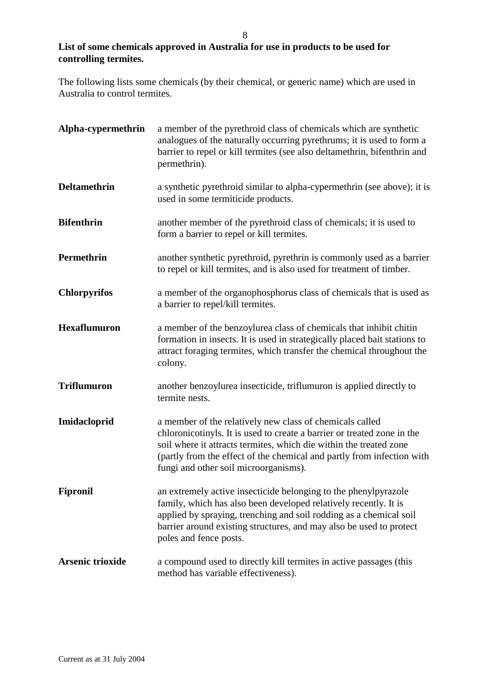## **List of some chemicals approved in Australia for use in products to be used for controlling termites.**

The following lists some chemicals (by their chemical, or generic name) which are used in Australia to control termites.

| Alpha-cypermethrin      | a member of the pyrethroid class of chemicals which are synthetic<br>analogues of the naturally occurring pyrethrums; it is used to form a<br>barrier to repel or kill termites (see also deltamethrin, bifenthrin and<br>permethrin).                                                                                       |
|-------------------------|------------------------------------------------------------------------------------------------------------------------------------------------------------------------------------------------------------------------------------------------------------------------------------------------------------------------------|
| <b>Deltamethrin</b>     | a synthetic pyrethroid similar to alpha-cypermethrin (see above); it is<br>used in some termiticide products.                                                                                                                                                                                                                |
| <b>Bifenthrin</b>       | another member of the pyrethroid class of chemicals; it is used to<br>form a barrier to repel or kill termites.                                                                                                                                                                                                              |
| Permethrin              | another synthetic pyrethroid, pyrethrin is commonly used as a barrier<br>to repel or kill termites, and is also used for treatment of timber.                                                                                                                                                                                |
| <b>Chlorpyrifos</b>     | a member of the organophosphorus class of chemicals that is used as<br>a barrier to repel/kill termites.                                                                                                                                                                                                                     |
| <b>Hexaflumuron</b>     | a member of the benzoylurea class of chemicals that inhibit chitin<br>formation in insects. It is used in strategically placed bait stations to<br>attract foraging termites, which transfer the chemical throughout the<br>colony.                                                                                          |
| <b>Triflumuron</b>      | another benzoylurea insecticide, triflumuron is applied directly to<br>termite nests.                                                                                                                                                                                                                                        |
| Imidacloprid            | a member of the relatively new class of chemicals called<br>chloronicotinyls. It is used to create a barrier or treated zone in the<br>soil where it attracts termites, which die within the treated zone<br>(partly from the effect of the chemical and partly from infection with<br>fungi and other soil microorganisms). |
| <b>Fipronil</b>         | an extremely active insecticide belonging to the phenylpyrazole<br>family, which has also been developed relatively recently. It is<br>applied by spraying, trenching and soil rodding as a chemical soil<br>barrier around existing structures, and may also be used to protect<br>poles and fence posts.                   |
| <b>Arsenic trioxide</b> | a compound used to directly kill termites in active passages (this<br>method has variable effectiveness).                                                                                                                                                                                                                    |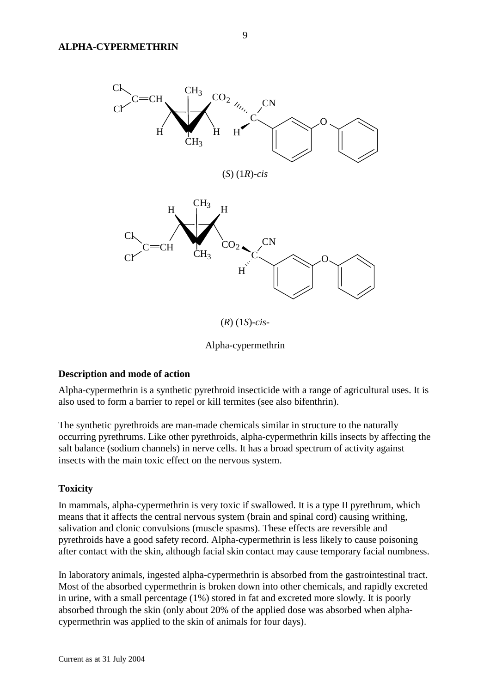

Alpha-cypermethrin

## **Description and mode of action**

Alpha-cypermethrin is a synthetic pyrethroid insecticide with a range of agricultural uses. It is also used to form a barrier to repel or kill termites (see also bifenthrin).

The synthetic pyrethroids are man-made chemicals similar in structure to the naturally occurring pyrethrums. Like other pyrethroids, alpha-cypermethrin kills insects by affecting the salt balance (sodium channels) in nerve cells. It has a broad spectrum of activity against insects with the main toxic effect on the nervous system.

### **Toxicity**

In mammals, alpha-cypermethrin is very toxic if swallowed. It is a type II pyrethrum, which means that it affects the central nervous system (brain and spinal cord) causing writhing, salivation and clonic convulsions (muscle spasms). These effects are reversible and pyrethroids have a good safety record. Alpha-cypermethrin is less likely to cause poisoning after contact with the skin, although facial skin contact may cause temporary facial numbness.

In laboratory animals, ingested alpha-cypermethrin is absorbed from the gastrointestinal tract. Most of the absorbed cypermethrin is broken down into other chemicals, and rapidly excreted in urine, with a small percentage (1%) stored in fat and excreted more slowly. It is poorly absorbed through the skin (only about 20% of the applied dose was absorbed when alphacypermethrin was applied to the skin of animals for four days).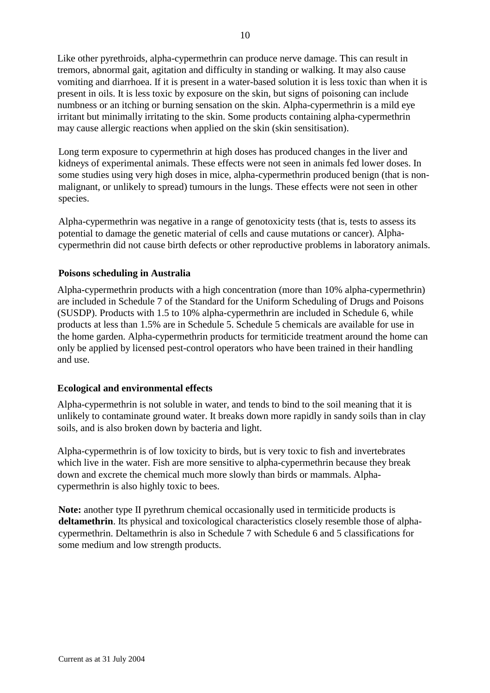Like other pyrethroids, alpha-cypermethrin can produce nerve damage. This can result in tremors, abnormal gait, agitation and difficulty in standing or walking. It may also cause vomiting and diarrhoea. If it is present in a water-based solution it is less toxic than when it is present in oils. It is less toxic by exposure on the skin, but signs of poisoning can include numbness or an itching or burning sensation on the skin. Alpha-cypermethrin is a mild eye irritant but minimally irritating to the skin. Some products containing alpha-cypermethrin may cause allergic reactions when applied on the skin (skin sensitisation).

Long term exposure to cypermethrin at high doses has produced changes in the liver and kidneys of experimental animals. These effects were not seen in animals fed lower doses. In some studies using very high doses in mice, alpha-cypermethrin produced benign (that is nonmalignant, or unlikely to spread) tumours in the lungs. These effects were not seen in other species.

Alpha-cypermethrin was negative in a range of genotoxicity tests (that is, tests to assess its potential to damage the genetic material of cells and cause mutations or cancer). Alphacypermethrin did not cause birth defects or other reproductive problems in laboratory animals.

#### **Poisons scheduling in Australia**

Alpha-cypermethrin products with a high concentration (more than 10% alpha-cypermethrin) are included in Schedule 7 of the Standard for the Uniform Scheduling of Drugs and Poisons (SUSDP). Products with 1.5 to 10% alpha-cypermethrin are included in Schedule 6, while products at less than 1.5% are in Schedule 5. Schedule 5 chemicals are available for use in the home garden. Alpha-cypermethrin products for termiticide treatment around the home can only be applied by licensed pest-control operators who have been trained in their handling and use.

### **Ecological and environmental effects**

Alpha-cypermethrin is not soluble in water, and tends to bind to the soil meaning that it is unlikely to contaminate ground water. It breaks down more rapidly in sandy soils than in clay soils, and is also broken down by bacteria and light.

Alpha-cypermethrin is of low toxicity to birds, but is very toxic to fish and invertebrates which live in the water. Fish are more sensitive to alpha-cypermethrin because they break down and excrete the chemical much more slowly than birds or mammals. Alphacypermethrin is also highly toxic to bees.

**Note:** another type II pyrethrum chemical occasionally used in termiticide products is **deltamethrin**. Its physical and toxicological characteristics closely resemble those of alphacypermethrin. Deltamethrin is also in Schedule 7 with Schedule 6 and 5 classifications for some medium and low strength products.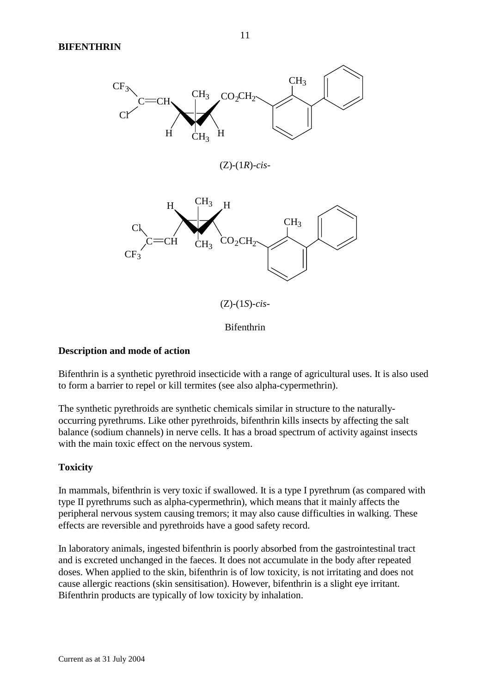

#### Bifenthrin

### **Description and mode of action**

Bifenthrin is a synthetic pyrethroid insecticide with a range of agricultural uses. It is also used to form a barrier to repel or kill termites (see also alpha-cypermethrin).

The synthetic pyrethroids are synthetic chemicals similar in structure to the naturallyoccurring pyrethrums. Like other pyrethroids, bifenthrin kills insects by affecting the salt balance (sodium channels) in nerve cells. It has a broad spectrum of activity against insects with the main toxic effect on the nervous system.

### **Toxicity**

In mammals, bifenthrin is very toxic if swallowed. It is a type I pyrethrum (as compared with type II pyrethrums such as alpha-cypermethrin), which means that it mainly affects the peripheral nervous system causing tremors; it may also cause difficulties in walking. These effects are reversible and pyrethroids have a good safety record.

In laboratory animals, ingested bifenthrin is poorly absorbed from the gastrointestinal tract and is excreted unchanged in the faeces. It does not accumulate in the body after repeated doses. When applied to the skin, bifenthrin is of low toxicity, is not irritating and does not cause allergic reactions (skin sensitisation). However, bifenthrin is a slight eye irritant. Bifenthrin products are typically of low toxicity by inhalation.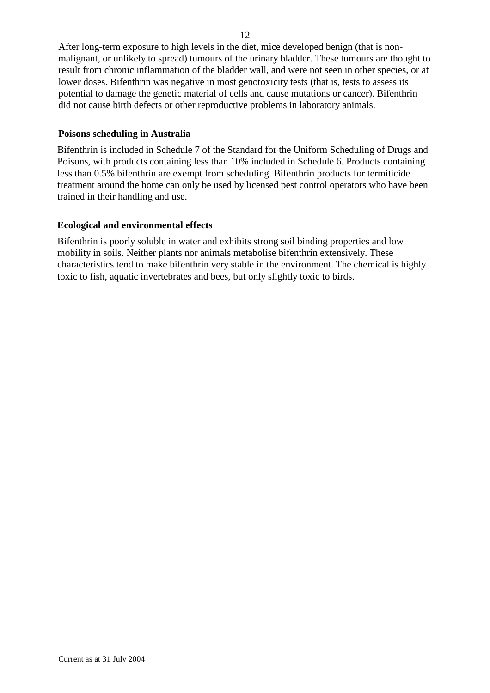After long-term exposure to high levels in the diet, mice developed benign (that is nonmalignant, or unlikely to spread) tumours of the urinary bladder. These tumours are thought to result from chronic inflammation of the bladder wall, and were not seen in other species, or at lower doses. Bifenthrin was negative in most genotoxicity tests (that is, tests to assess its potential to damage the genetic material of cells and cause mutations or cancer). Bifenthrin did not cause birth defects or other reproductive problems in laboratory animals.

## **Poisons scheduling in Australia**

Bifenthrin is included in Schedule 7 of the Standard for the Uniform Scheduling of Drugs and Poisons, with products containing less than 10% included in Schedule 6. Products containing less than 0.5% bifenthrin are exempt from scheduling. Bifenthrin products for termiticide treatment around the home can only be used by licensed pest control operators who have been trained in their handling and use.

## **Ecological and environmental effects**

Bifenthrin is poorly soluble in water and exhibits strong soil binding properties and low mobility in soils. Neither plants nor animals metabolise bifenthrin extensively. These characteristics tend to make bifenthrin very stable in the environment. The chemical is highly toxic to fish, aquatic invertebrates and bees, but only slightly toxic to birds.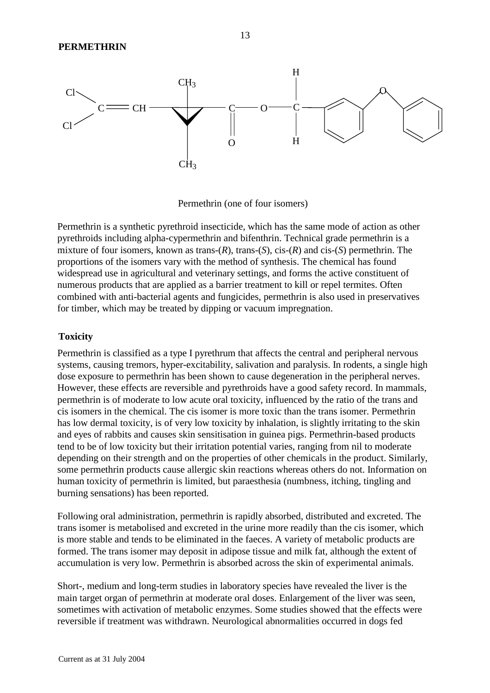

Permethrin (one of four isomers)

Permethrin is a synthetic pyrethroid insecticide, which has the same mode of action as other pyrethroids including alpha-cypermethrin and bifenthrin. Technical grade permethrin is a mixture of four isomers, known as trans-(*R*), trans-(*S*), cis-(*R*) and cis-(*S*) permethrin. The proportions of the isomers vary with the method of synthesis. The chemical has found widespread use in agricultural and veterinary settings, and forms the active constituent of numerous products that are applied as a barrier treatment to kill or repel termites. Often combined with anti-bacterial agents and fungicides, permethrin is also used in preservatives for timber, which may be treated by dipping or vacuum impregnation.

### **Toxicity**

Permethrin is classified as a type I pyrethrum that affects the central and peripheral nervous systems, causing tremors, hyper-excitability, salivation and paralysis. In rodents, a single high dose exposure to permethrin has been shown to cause degeneration in the peripheral nerves. However, these effects are reversible and pyrethroids have a good safety record. In mammals, permethrin is of moderate to low acute oral toxicity, influenced by the ratio of the trans and cis isomers in the chemical. The cis isomer is more toxic than the trans isomer. Permethrin has low dermal toxicity, is of very low toxicity by inhalation, is slightly irritating to the skin and eyes of rabbits and causes skin sensitisation in guinea pigs. Permethrin-based products tend to be of low toxicity but their irritation potential varies, ranging from nil to moderate depending on their strength and on the properties of other chemicals in the product. Similarly, some permethrin products cause allergic skin reactions whereas others do not. Information on human toxicity of permethrin is limited, but paraesthesia (numbness, itching, tingling and burning sensations) has been reported.

Following oral administration, permethrin is rapidly absorbed, distributed and excreted. The trans isomer is metabolised and excreted in the urine more readily than the cis isomer, which is more stable and tends to be eliminated in the faeces. A variety of metabolic products are formed. The trans isomer may deposit in adipose tissue and milk fat, although the extent of accumulation is very low. Permethrin is absorbed across the skin of experimental animals.

Short-, medium and long-term studies in laboratory species have revealed the liver is the main target organ of permethrin at moderate oral doses. Enlargement of the liver was seen, sometimes with activation of metabolic enzymes. Some studies showed that the effects were reversible if treatment was withdrawn. Neurological abnormalities occurred in dogs fed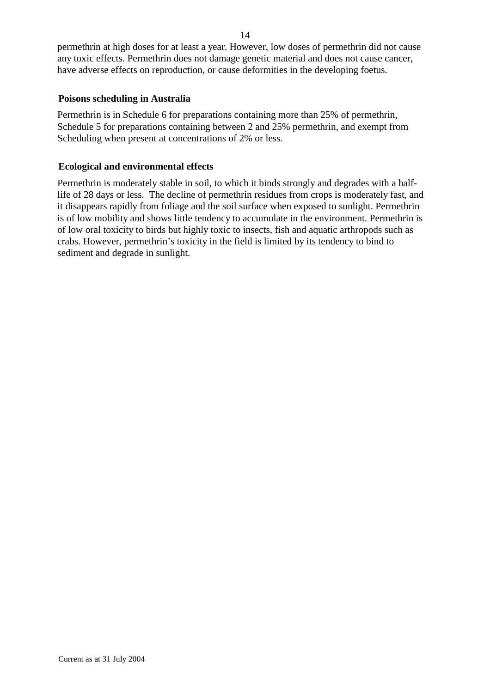permethrin at high doses for at least a year. However, low doses of permethrin did not cause any toxic effects. Permethrin does not damage genetic material and does not cause cancer, have adverse effects on reproduction, or cause deformities in the developing foetus.

## **Poisons scheduling in Australia**

Permethrin is in Schedule 6 for preparations containing more than 25% of permethrin, Schedule 5 for preparations containing between 2 and 25% permethrin, and exempt from Scheduling when present at concentrations of 2% or less.

## **Ecological and environmental effects**

Permethrin is moderately stable in soil, to which it binds strongly and degrades with a halflife of 28 days or less. The decline of permethrin residues from crops is moderately fast, and it disappears rapidly from foliage and the soil surface when exposed to sunlight. Permethrin is of low mobility and shows little tendency to accumulate in the environment. Permethrin is of low oral toxicity to birds but highly toxic to insects, fish and aquatic arthropods such as crabs. However, permethrin's toxicity in the field is limited by its tendency to bind to sediment and degrade in sunlight.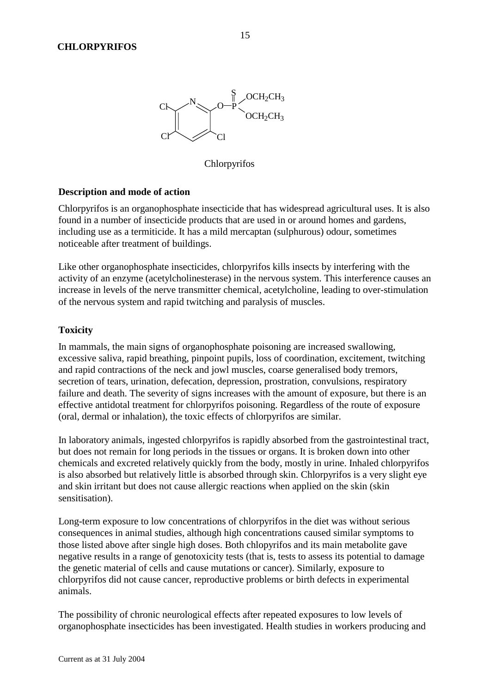

Chlorpyrifos

### **Description and mode of action**

Chlorpyrifos is an organophosphate insecticide that has widespread agricultural uses. It is also found in a number of insecticide products that are used in or around homes and gardens, including use as a termiticide. It has a mild mercaptan (sulphurous) odour, sometimes noticeable after treatment of buildings.

Like other organophosphate insecticides, chlorpyrifos kills insects by interfering with the activity of an enzyme (acetylcholinesterase) in the nervous system. This interference causes an increase in levels of the nerve transmitter chemical, acetylcholine, leading to over-stimulation of the nervous system and rapid twitching and paralysis of muscles.

#### **Toxicity**

In mammals, the main signs of organophosphate poisoning are increased swallowing, excessive saliva, rapid breathing, pinpoint pupils, loss of coordination, excitement, twitching and rapid contractions of the neck and jowl muscles, coarse generalised body tremors, secretion of tears, urination, defecation, depression, prostration, convulsions, respiratory failure and death. The severity of signs increases with the amount of exposure, but there is an effective antidotal treatment for chlorpyrifos poisoning. Regardless of the route of exposure (oral, dermal or inhalation), the toxic effects of chlorpyrifos are similar.

In laboratory animals, ingested chlorpyrifos is rapidly absorbed from the gastrointestinal tract, but does not remain for long periods in the tissues or organs. It is broken down into other chemicals and excreted relatively quickly from the body, mostly in urine. Inhaled chlorpyrifos is also absorbed but relatively little is absorbed through skin. Chlorpyrifos is a very slight eye and skin irritant but does not cause allergic reactions when applied on the skin (skin sensitisation).

Long-term exposure to low concentrations of chlorpyrifos in the diet was without serious consequences in animal studies, although high concentrations caused similar symptoms to those listed above after single high doses. Both chlopyrifos and its main metabolite gave negative results in a range of genotoxicity tests (that is, tests to assess its potential to damage the genetic material of cells and cause mutations or cancer). Similarly, exposure to chlorpyrifos did not cause cancer, reproductive problems or birth defects in experimental animals.

The possibility of chronic neurological effects after repeated exposures to low levels of organophosphate insecticides has been investigated. Health studies in workers producing and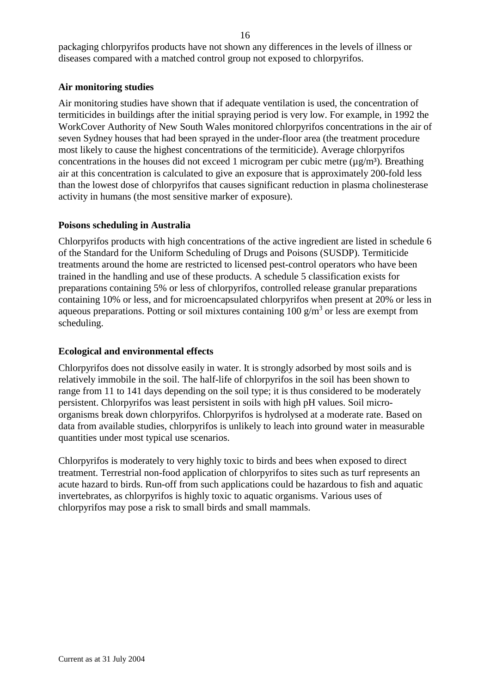packaging chlorpyrifos products have not shown any differences in the levels of illness or diseases compared with a matched control group not exposed to chlorpyrifos.

## **Air monitoring studies**

Air monitoring studies have shown that if adequate ventilation is used, the concentration of termiticides in buildings after the initial spraying period is very low. For example, in 1992 the WorkCover Authority of New South Wales monitored chlorpyrifos concentrations in the air of seven Sydney houses that had been sprayed in the under-floor area (the treatment procedure most likely to cause the highest concentrations of the termiticide). Average chlorpyrifos concentrations in the houses did not exceed 1 microgram per cubic metre ( $\mu$ g/m<sup>3</sup>). Breathing air at this concentration is calculated to give an exposure that is approximately 200-fold less than the lowest dose of chlorpyrifos that causes significant reduction in plasma cholinesterase activity in humans (the most sensitive marker of exposure).

## **Poisons scheduling in Australia**

Chlorpyrifos products with high concentrations of the active ingredient are listed in schedule 6 of the Standard for the Uniform Scheduling of Drugs and Poisons (SUSDP). Termiticide treatments around the home are restricted to licensed pest-control operators who have been trained in the handling and use of these products. A schedule 5 classification exists for preparations containing 5% or less of chlorpyrifos, controlled release granular preparations containing 10% or less, and for microencapsulated chlorpyrifos when present at 20% or less in aqueous preparations. Potting or soil mixtures containing  $100 \text{ g/m}^3$  or less are exempt from scheduling.

## **Ecological and environmental effects**

Chlorpyrifos does not dissolve easily in water. It is strongly adsorbed by most soils and is relatively immobile in the soil. The half-life of chlorpyrifos in the soil has been shown to range from 11 to 141 days depending on the soil type; it is thus considered to be moderately persistent. Chlorpyrifos was least persistent in soils with high pH values. Soil microorganisms break down chlorpyrifos. Chlorpyrifos is hydrolysed at a moderate rate. Based on data from available studies, chlorpyrifos is unlikely to leach into ground water in measurable quantities under most typical use scenarios.

Chlorpyrifos is moderately to very highly toxic to birds and bees when exposed to direct treatment. Terrestrial non-food application of chlorpyrifos to sites such as turf represents an acute hazard to birds. Run-off from such applications could be hazardous to fish and aquatic invertebrates, as chlorpyrifos is highly toxic to aquatic organisms. Various uses of chlorpyrifos may pose a risk to small birds and small mammals.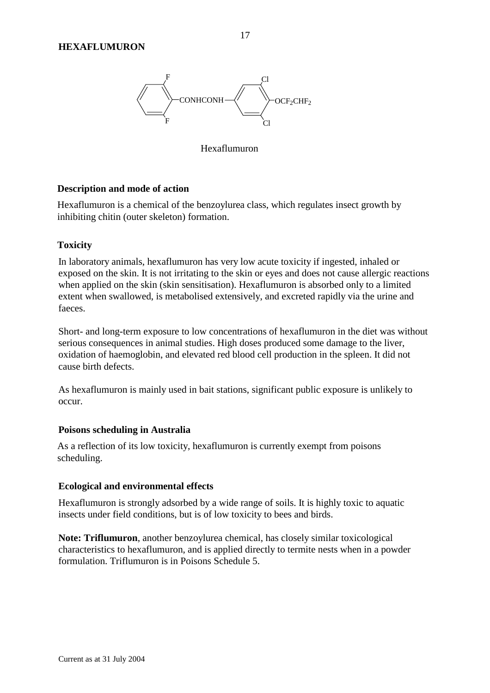

Hexaflumuron

### **Description and mode of action**

Hexaflumuron is a chemical of the benzoylurea class, which regulates insect growth by inhibiting chitin (outer skeleton) formation.

### **Toxicity**

In laboratory animals, hexaflumuron has very low acute toxicity if ingested, inhaled or exposed on the skin. It is not irritating to the skin or eyes and does not cause allergic reactions when applied on the skin (skin sensitisation). Hexaflumuron is absorbed only to a limited extent when swallowed, is metabolised extensively, and excreted rapidly via the urine and faeces.

Short- and long-term exposure to low concentrations of hexaflumuron in the diet was without serious consequences in animal studies. High doses produced some damage to the liver, oxidation of haemoglobin, and elevated red blood cell production in the spleen. It did not cause birth defects.

As hexaflumuron is mainly used in bait stations, significant public exposure is unlikely to occur.

#### **Poisons scheduling in Australia**

As a reflection of its low toxicity, hexaflumuron is currently exempt from poisons scheduling.

#### **Ecological and environmental effects**

Hexaflumuron is strongly adsorbed by a wide range of soils. It is highly toxic to aquatic insects under field conditions, but is of low toxicity to bees and birds.

**Note: Triflumuron**, another benzoylurea chemical, has closely similar toxicological characteristics to hexaflumuron, and is applied directly to termite nests when in a powder formulation. Triflumuron is in Poisons Schedule 5.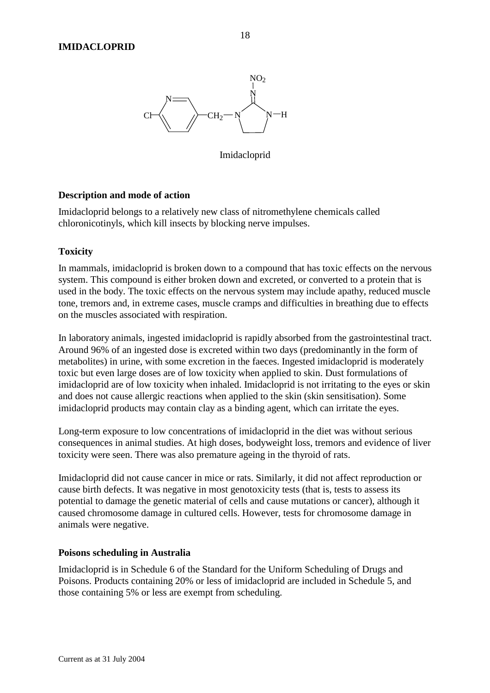

Imidacloprid

### **Description and mode of action**

Imidacloprid belongs to a relatively new class of nitromethylene chemicals called chloronicotinyls, which kill insects by blocking nerve impulses.

## **Toxicity**

In mammals, imidacloprid is broken down to a compound that has toxic effects on the nervous system. This compound is either broken down and excreted, or converted to a protein that is used in the body. The toxic effects on the nervous system may include apathy, reduced muscle tone, tremors and, in extreme cases, muscle cramps and difficulties in breathing due to effects on the muscles associated with respiration.

In laboratory animals, ingested imidacloprid is rapidly absorbed from the gastrointestinal tract. Around 96% of an ingested dose is excreted within two days (predominantly in the form of metabolites) in urine, with some excretion in the faeces. Ingested imidacloprid is moderately toxic but even large doses are of low toxicity when applied to skin. Dust formulations of imidacloprid are of low toxicity when inhaled. Imidacloprid is not irritating to the eyes or skin and does not cause allergic reactions when applied to the skin (skin sensitisation). Some imidacloprid products may contain clay as a binding agent, which can irritate the eyes.

Long-term exposure to low concentrations of imidacloprid in the diet was without serious consequences in animal studies. At high doses, bodyweight loss, tremors and evidence of liver toxicity were seen. There was also premature ageing in the thyroid of rats.

Imidacloprid did not cause cancer in mice or rats. Similarly, it did not affect reproduction or cause birth defects. It was negative in most genotoxicity tests (that is, tests to assess its potential to damage the genetic material of cells and cause mutations or cancer), although it caused chromosome damage in cultured cells. However, tests for chromosome damage in animals were negative.

### **Poisons scheduling in Australia**

Imidacloprid is in Schedule 6 of the Standard for the Uniform Scheduling of Drugs and Poisons. Products containing 20% or less of imidacloprid are included in Schedule 5, and those containing 5% or less are exempt from scheduling.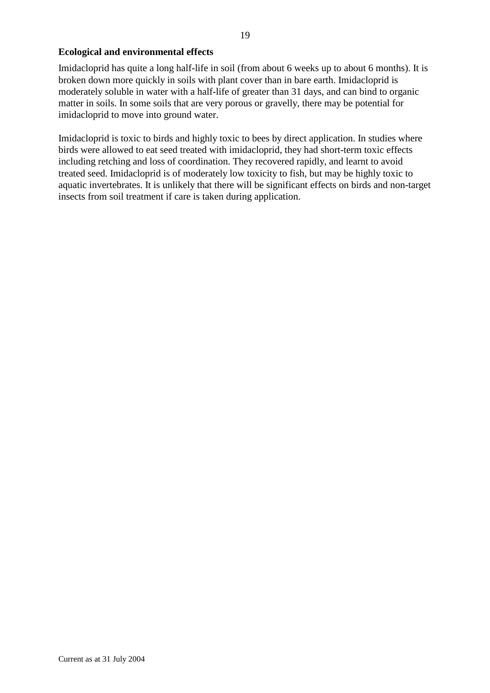## **Ecological and environmental effects**

Imidacloprid has quite a long half-life in soil (from about 6 weeks up to about 6 months). It is broken down more quickly in soils with plant cover than in bare earth. Imidacloprid is moderately soluble in water with a half-life of greater than 31 days, and can bind to organic matter in soils. In some soils that are very porous or gravelly, there may be potential for imidacloprid to move into ground water.

Imidacloprid is toxic to birds and highly toxic to bees by direct application. In studies where birds were allowed to eat seed treated with imidacloprid, they had short-term toxic effects including retching and loss of coordination. They recovered rapidly, and learnt to avoid treated seed. Imidacloprid is of moderately low toxicity to fish, but may be highly toxic to aquatic invertebrates. It is unlikely that there will be significant effects on birds and non-target insects from soil treatment if care is taken during application.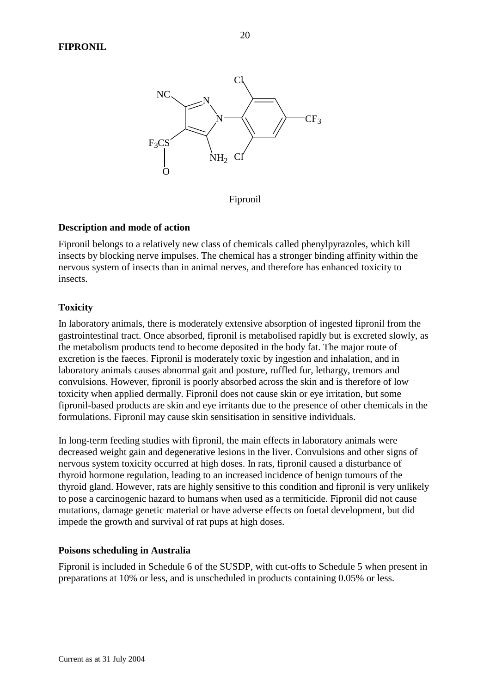

Fipronil

## **Description and mode of action**

Fipronil belongs to a relatively new class of chemicals called phenylpyrazoles, which kill insects by blocking nerve impulses. The chemical has a stronger binding affinity within the nervous system of insects than in animal nerves, and therefore has enhanced toxicity to insects.

## **Toxicity**

In laboratory animals, there is moderately extensive absorption of ingested fipronil from the gastrointestinal tract. Once absorbed, fipronil is metabolised rapidly but is excreted slowly, as the metabolism products tend to become deposited in the body fat. The major route of excretion is the faeces. Fipronil is moderately toxic by ingestion and inhalation, and in laboratory animals causes abnormal gait and posture, ruffled fur, lethargy, tremors and convulsions. However, fipronil is poorly absorbed across the skin and is therefore of low toxicity when applied dermally. Fipronil does not cause skin or eye irritation, but some fipronil-based products are skin and eye irritants due to the presence of other chemicals in the formulations. Fipronil may cause skin sensitisation in sensitive individuals.

In long-term feeding studies with fipronil, the main effects in laboratory animals were decreased weight gain and degenerative lesions in the liver. Convulsions and other signs of nervous system toxicity occurred at high doses. In rats, fipronil caused a disturbance of thyroid hormone regulation, leading to an increased incidence of benign tumours of the thyroid gland. However, rats are highly sensitive to this condition and fipronil is very unlikely to pose a carcinogenic hazard to humans when used as a termiticide. Fipronil did not cause mutations, damage genetic material or have adverse effects on foetal development, but did impede the growth and survival of rat pups at high doses.

### **Poisons scheduling in Australia**

Fipronil is included in Schedule 6 of the SUSDP, with cut-offs to Schedule 5 when present in preparations at 10% or less, and is unscheduled in products containing 0.05% or less.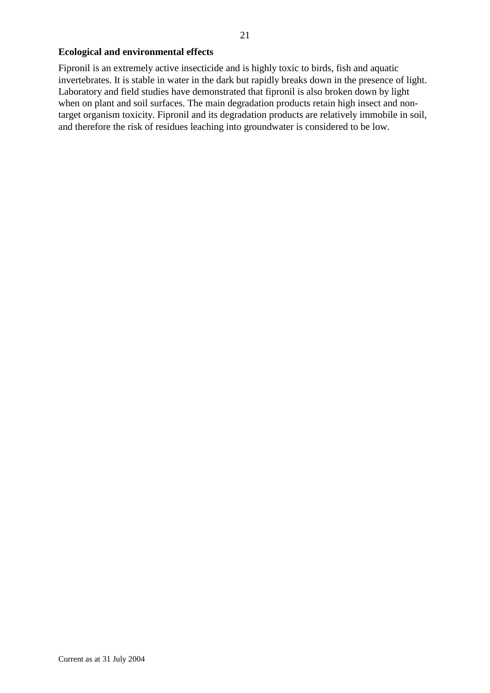## **Ecological and environmental effects**

Fipronil is an extremely active insecticide and is highly toxic to birds, fish and aquatic invertebrates. It is stable in water in the dark but rapidly breaks down in the presence of light. Laboratory and field studies have demonstrated that fipronil is also broken down by light when on plant and soil surfaces. The main degradation products retain high insect and nontarget organism toxicity. Fipronil and its degradation products are relatively immobile in soil, and therefore the risk of residues leaching into groundwater is considered to be low.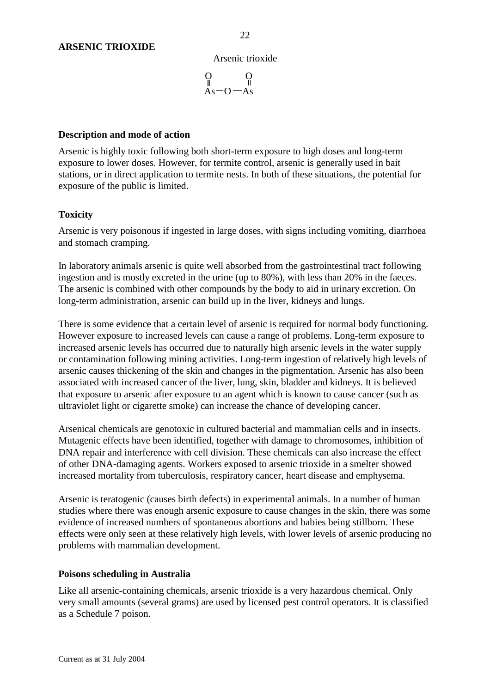#### Arsenic trioxide

$$
\underset{\text{As}\xrightarrow{}0}{\underset{\parallel}{0}} \underset{-\text{As}}{\underset{\parallel}{0}}
$$

### **Description and mode of action**

Arsenic is highly toxic following both short-term exposure to high doses and long-term exposure to lower doses. However, for termite control, arsenic is generally used in bait stations, or in direct application to termite nests. In both of these situations, the potential for exposure of the public is limited.

## **Toxicity**

Arsenic is very poisonous if ingested in large doses, with signs including vomiting, diarrhoea and stomach cramping.

In laboratory animals arsenic is quite well absorbed from the gastrointestinal tract following ingestion and is mostly excreted in the urine (up to 80%), with less than 20% in the faeces. The arsenic is combined with other compounds by the body to aid in urinary excretion. On long-term administration, arsenic can build up in the liver, kidneys and lungs.

There is some evidence that a certain level of arsenic is required for normal body functioning. However exposure to increased levels can cause a range of problems. Long-term exposure to increased arsenic levels has occurred due to naturally high arsenic levels in the water supply or contamination following mining activities. Long-term ingestion of relatively high levels of arsenic causes thickening of the skin and changes in the pigmentation. Arsenic has also been associated with increased cancer of the liver, lung, skin, bladder and kidneys. It is believed that exposure to arsenic after exposure to an agent which is known to cause cancer (such as ultraviolet light or cigarette smoke) can increase the chance of developing cancer.

Arsenical chemicals are genotoxic in cultured bacterial and mammalian cells and in insects. Mutagenic effects have been identified, together with damage to chromosomes, inhibition of DNA repair and interference with cell division. These chemicals can also increase the effect of other DNA-damaging agents. Workers exposed to arsenic trioxide in a smelter showed increased mortality from tuberculosis, respiratory cancer, heart disease and emphysema.

Arsenic is teratogenic (causes birth defects) in experimental animals. In a number of human studies where there was enough arsenic exposure to cause changes in the skin, there was some evidence of increased numbers of spontaneous abortions and babies being stillborn. These effects were only seen at these relatively high levels, with lower levels of arsenic producing no problems with mammalian development.

### **Poisons scheduling in Australia**

Like all arsenic-containing chemicals, arsenic trioxide is a very hazardous chemical. Only very small amounts (several grams) are used by licensed pest control operators. It is classified as a Schedule 7 poison.